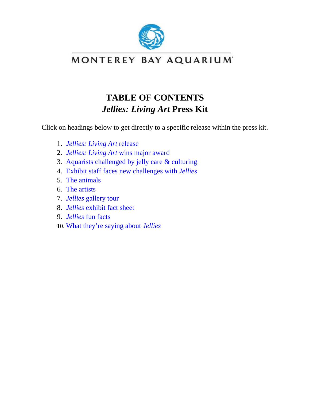

# **TABLE OF CONTENTS**  *Jellies: Living Art* **Press Kit**

<span id="page-0-0"></span>Click on headings below to get directly to a specific release within the press kit.

- 1. *[Jellies: Living Art](#page-1-0)* release
- 2. *Jellies: Living Art* [wins major award](#page-3-0)
- 3. [Aquarists challenged by jelly care & culturing](#page-5-0)
- 4. [Exhibit staff faces new challenges with](#page-8-0) *Jellies*
- 5. [The animals](#page-10-0)
- 6. [The artists](#page-14-0)
- 7. *Jellies* [gallery tour](#page-18-0)
- 8. *Jellies* [exhibit fact sheet](#page-20-0)
- 9. *Jellies* [fun facts](#page-21-0)
- 10. [What they're saying about](#page-23-0) *Jellies*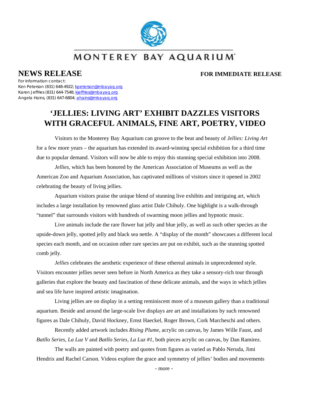

### <span id="page-1-0"></span>**NEWS RELEASE FOR IMMEDIATE RELEASE**

For information contact:

Ken Peterson (831) 648-4922; [kpeterson@mbayaq.org](mailto:kpeterson@mbayaq.org) Karen Jeffries (831) 644-7548; [kjeffries@mbayaq.org](mailto:kjeffries@mbayaq.org) Angela Hains, (831) 647-6804; [ahains@mbayaq.org](mailto:ahains@mbayaq.org)

# **'JELLIES: LIVING ART' EXHIBIT DAZZLES VISITORS WITH GRACEFUL ANIMALS, FINE ART, POETRY, VIDEO**

Visitors to the Monterey Bay Aquarium can groove to the beat and beauty of *Jellies: Living Art*  for a few more years – the aquarium has extended its award-winning special exhibition for a third time due to popular demand. Visitors will now be able to enjoy this stunning special exhibition into 2008.

*Jellies*, which has been honored by the American Association of Museums as well as the American Zoo and Aquarium Association, has captivated millions of visitors since it opened in 2002 celebrating the beauty of living jellies.

Aquarium visitors praise the unique blend of stunning live exhibits and intriguing art, which includes a large installation by renowned glass artist Dale Chihuly. One highlight is a walk-through "tunnel" that surrounds visitors with hundreds of swarming moon jellies and hypnotic music.

Live animals include the rare flower hat jelly and blue jelly, as well as such other species as the upside-down jelly, spotted jelly and black sea nettle. A "display of the month" showcases a different local species each month, and on occasion other rare species are put on exhibit, such as the stunning spotted comb jelly.

*Jellies* celebrates the aesthetic experience of these ethereal animals in unprecedented style. Visitors encounter jellies never seen before in North America as they take a sensory-rich tour through galleries that explore the beauty and fascination of these delicate animals, and the ways in which jellies and sea life have inspired artistic imagination.

Living jellies are on display in a setting reminiscent more of a museum gallery than a traditional aquarium. Beside and around the large-scale live displays are art and installations by such renowned figures as Dale Chihuly, David Hockney, Ernst Haeckel, Roger Brown, Cork Marcheschi and others.

Recently added artwork includes *Rising Plume*, acrylic on canvas, by James Wille Faust, and *Batllo Series, La Luz V* and *Batllo Series, La Luz #1*, both pieces acrylic on canvas, by Dan Ramirez.

The walls are painted with poetry and quotes from figures as varied as Pablo Neruda, Jimi Hendrix and Rachel Carson. Videos explore the grace and symmetry of jellies' bodies and movements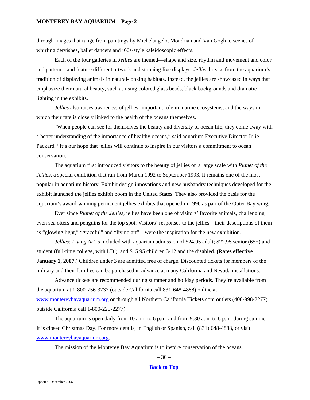#### **MONTEREY BAY AQUARIUM – Page 2**

through images that range from paintings by Michelangelo, Mondrian and Van Gogh to scenes of whirling dervishes, ballet dancers and '60s-style kaleidoscopic effects.

Each of the four galleries in *Jellies* are themed—shape and size, rhythm and movement and color and pattern—and feature different artwork and stunning live displays. *Jellies* breaks from the aquarium's tradition of displaying animals in natural-looking habitats. Instead, the jellies are showcased in ways that emphasize their natural beauty, such as using colored glass beads, black backgrounds and dramatic lighting in the exhibits.

*Jellies* also raises awareness of jellies' important role in marine ecosystems, and the ways in which their fate is closely linked to the health of the oceans themselves.

"When people can see for themselves the beauty and diversity of ocean life, they come away with a better understanding of the importance of healthy oceans," said aquarium Executive Director Julie Packard. "It's our hope that jellies will continue to inspire in our visitors a commitment to ocean conservation."

The aquarium first introduced visitors to the beauty of jellies on a large scale with *Planet of the Jellies*, a special exhibition that ran from March 1992 to September 1993. It remains one of the most popular in aquarium history. Exhibit design innovations and new husbandry techniques developed for the exhibit launched the jellies exhibit boom in the United States. They also provided the basis for the aquarium's award-winning permanent jellies exhibits that opened in 1996 as part of the Outer Bay wing.

Ever since *Planet of the Jellies*, jellies have been one of visitors' favorite animals, challenging even sea otters and penguins for the top spot. Visitors' responses to the jellies—their descriptions of them as "glowing light," "graceful" and "living art"—were the inspiration for the new exhibition.

*Jellies: Living Art* is included with aquarium admission of \$24.95 adult; \$22.95 senior (65+) and student (full-time college, with I.D.); and \$15.95 children 3-12 and the disabled. **(Rates effective January 1, 2007.**) Children under 3 are admitted free of charge. Discounted tickets for members of the military and their families can be purchased in advance at many California and Nevada installations.

Advance tickets are recommended during summer and holiday periods. They're available from the aquarium at 1-800-756-3737 (outside California call 831-648-4888) online at [www.montereybayaquarium.org](http://www.montereybayaquarium.org/) or through all Northern California Tickets.com outlets (408-998-2277; outside California call 1-800-225-2277).

The aquarium is open daily from 10 a.m. to 6 p.m. and from 9:30 a.m. to 6 p.m. during summer. It is closed Christmas Day. For more details, in English or Spanish, call (831) 648-4888, or visit [www.montereybayaquarium.org.](http://www.montereybayaquarium.org/)

The mission of the Monterey Bay Aquarium is to inspire conservation of the oceans.

 $-30-$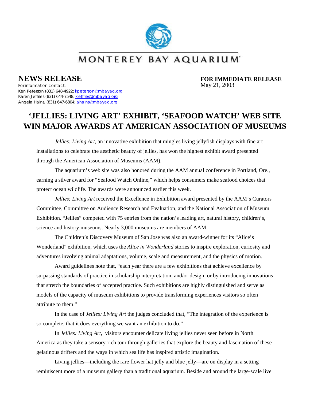

<span id="page-3-0"></span>

**NEWS RELEASE**<br>For information contact:<br>For information contact:<br>May 21, 2003

For information contact: Ken Peterson (831) 648-4922; [kpeterson@mbayaq.org](mailto:kpeterson@mbayaq.org) Karen Jeffries (831) 644-7548; [kjeffries@mbayaq.org](mailto:kjeffries@mbayaq.org) Angela Hains, (831) 647-6804; [ahains@mbayaq.org](mailto:ahains@mbayaq.org)

# **'JELLIES: LIVING ART' EXHIBIT, 'SEAFOOD WATCH' WEB SITE WIN MAJOR AWARDS AT AMERICAN ASSOCIATION OF MUSEUMS**

*Jellies: Living Art*, an innovative exhibition that mingles living jellyfish displays with fine art installations to celebrate the aesthetic beauty of jellies, has won the highest exhibit award presented through the American Association of Museums (AAM).

The aquarium's web site was also honored during the AAM annual conference in Portland, Ore., earning a silver award for "Seafood Watch Online," which helps consumers make seafood choices that protect ocean wildlife. The awards were announced earlier this week.

*Jellies: Living Art* received the Excellence in Exhibition award presented by the AAM's Curators Committee, Committee on Audience Research and Evaluation, and the National Association of Museum Exhibition. "Jellies" competed with 75 entries from the nation's leading art, natural history, children's, science and history museums. Nearly 3,000 museums are members of AAM.

The Children's Discovery Museum of San Jose was also an award-winner for its "Alice's Wonderland" exhibition, which uses the *Alice in Wonderland* stories to inspire exploration, curiosity and adventures involving animal adaptations, volume, scale and measurement, and the physics of motion.

Award guidelines note that, "each year there are a few exhibitions that achieve excellence by surpassing standards of practice in scholarship interpretation, and/or design, or by introducing innovations that stretch the boundaries of accepted practice. Such exhibitions are highly distinguished and serve as models of the capacity of museum exhibitions to provide transforming experiences visitors so often attribute to them."

In the case of *Jellies: Living Art* the judges concluded that, "The integration of the experience is so complete, that it does everything we want an exhibition to do."

In *Jellies: Living Art*, visitors encounter delicate living jellies never seen before in North America as they take a sensory-rich tour through galleries that explore the beauty and fascination of these gelatinous drifters and the ways in which sea life has inspired artistic imagination.

Living jellies—including the rare flower hat jelly and blue jelly—are on display in a setting reminiscent more of a museum gallery than a traditional aquarium. Beside and around the large-scale live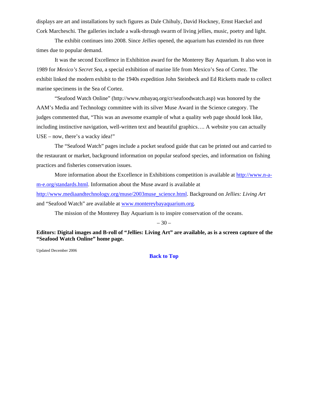displays are art and installations by such figures as Dale Chihuly, David Hockney, Ernst Haeckel and Cork Marcheschi. The galleries include a walk-through swarm of living jellies, music, poetry and light.

The exhibit continues into 2008. Since *Jellies* opened, the aquarium has extended its run three times due to popular demand.

It was the second Excellence in Exhibition award for the Monterey Bay Aquarium. It also won in 1989 for *Mexico's Secret Sea*, a special exhibition of marine life from Mexico's Sea of Cortez. The exhibit linked the modern exhibit to the 1940s expedition John Steinbeck and Ed Ricketts made to collect marine specimens in the Sea of Cortez.

"Seafood Watch Online" (http://www.mbayaq.org/cr/seafoodwatch.asp) was honored by the AAM's Media and Technology committee with its silver Muse Award in the Science category. The judges commented that, "This was an awesome example of what a quality web page should look like, including instinctive navigation, well-written text and beautiful graphics…. A website you can actually USE – now, there's a wacky idea!"

The "Seafood Watch" pages include a pocket seafood guide that can be printed out and carried to the restaurant or market, background information on popular seafood species, and information on fishing practices and fisheries conservation issues.

More information about the Excellence in Exhibitions competition is available at [http://www.n-a](http://www.n-a-m-e.org/standards.html)[m-e.org/standards.html.](http://www.n-a-m-e.org/standards.html) Information about the Muse award is available at [http://www.mediaandtechnology.org/muse/2003muse\\_science.html](http://www.mediaandtechnology.org/muse/2003muse_science.html). Background on *Jellies: Living Art*  and "Seafood Watch" are available at [www.montereybayaquarium.org.](http://www.montereybayaquarium.org/)

The mission of the Monterey Bay Aquarium is to inspire conservation of the oceans.

 $-30-$ 

**Editors: Digital images and B-roll of "Jellies: Living Art" are available, as is a screen capture of the "Seafood Watch Online" home page.** 

Updated December 2006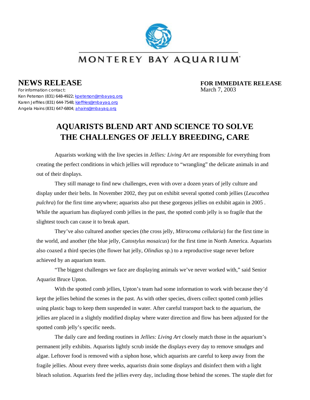

<span id="page-5-0"></span>

**NEWS RELEASE**<br>For information contact:<br>March 7, 2003

For information contact: Ken Peterson (831) 648-4922; [kpeterson@mbayaq.org](mailto:kpeterson@mbayaq.org) Karen Jeffries (831) 644-7548; [kjeffries@mbayaq.org](mailto:kjeffries@mbayaq.org) Angela Hains (831) 647-6804; [ahains@mbayaq.org](mailto:ahains@mbayaq.org)

# **AQUARISTS BLEND ART AND SCIENCE TO SOLVE THE CHALLENGES OF JELLY BREEDING, CARE**

Aquarists working with the live species in *Jellies: Living Art* are responsible for everything from creating the perfect conditions in which jellies will reproduce to "wrangling" the delicate animals in and out of their displays.

They still manage to find new challenges, even with over a dozen years of jelly culture and display under their belts. In November 2002, they put on exhibit several spotted comb jellies (*Leucothea pulchra*) for the first time anywhere; aquarists also put these gorgeous jellies on exhibit again in 2005. While the aquarium has displayed comb jellies in the past, the spotted comb jelly is so fragile that the slightest touch can cause it to break apart.

They've also cultured another species (the cross jelly, *Mitrocoma cellularia*) for the first time in the world, and another (the blue jelly, *Catostylus mosaicus*) for the first time in North America. Aquarists also coaxed a third species (the flower hat jelly, *Olindias* sp.) to a reproductive stage never before achieved by an aquarium team.

"The biggest challenges we face are displaying animals we've never worked with," said Senior Aquarist Bruce Upton.

With the spotted comb jellies, Upton's team had some information to work with because they'd kept the jellies behind the scenes in the past. As with other species, divers collect spotted comb jellies using plastic bags to keep them suspended in water. After careful transport back to the aquarium, the jellies are placed in a slightly modified display where water direction and flow has been adjusted for the spotted comb jelly's specific needs.

The daily care and feeding routines in *Jellies: Living Art* closely match those in the aquarium's permanent jelly exhibits. Aquarists lightly scrub inside the displays every day to remove smudges and algae. Leftover food is removed with a siphon hose, which aquarists are careful to keep away from the fragile jellies. About every three weeks, aquarists drain some displays and disinfect them with a light bleach solution. Aquarists feed the jellies every day, including those behind the scenes. The staple diet for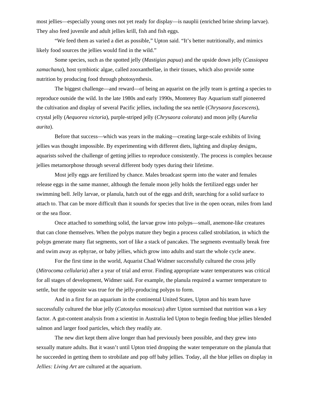most jellies—especially young ones not yet ready for display—is nauplii (enriched brine shrimp larvae). They also feed juvenile and adult jellies krill, fish and fish eggs.

"We feed them as varied a diet as possible," Upton said. "It's better nutritionally, and mimics likely food sources the jellies would find in the wild."

Some species, such as the spotted jelly (*Mastigias papua*) and the upside down jelly (*Cassiopea xamachana*), host symbiotic algae, called zooxanthellae, in their tissues, which also provide some nutrition by producing food through photosynthesis.

The biggest challenge—and reward—of being an aquarist on the jelly team is getting a species to reproduce outside the wild. In the late 1980s and early 1990s, Monterey Bay Aquarium staff pioneered the cultivation and display of several Pacific jellies, including the sea nettle (*Chrysaora fuscescens*), crystal jelly (*Aequorea victoria*), purple-striped jelly (*Chrysaora colorata*) and moon jelly (*Aurelia aurita*).

Before that success—which was years in the making—creating large-scale exhibits of living jellies was thought impossible. By experimenting with different diets, lighting and display designs, aquarists solved the challenge of getting jellies to reproduce consistently. The process is complex because jellies metamorphose through several different body types during their lifetime.

Most jelly eggs are fertilized by chance. Males broadcast sperm into the water and females release eggs in the same manner, although the female moon jelly holds the fertilized eggs under her swimming bell. Jelly larvae, or planula, hatch out of the eggs and drift, searching for a solid surface to attach to. That can be more difficult than it sounds for species that live in the open ocean, miles from land or the sea floor.

Once attached to something solid, the larvae grow into polyps—small, anemone-like creatures that can clone themselves. When the polyps mature they begin a process called strobilation, in which the polyps generate many flat segments, sort of like a stack of pancakes. The segments eventually break free and swim away as ephyrae, or baby jellies, which grow into adults and start the whole cycle anew.

For the first time in the world, Aquarist Chad Widmer successfully cultured the cross jelly (*Mitrocoma cellularia*) after a year of trial and error. Finding appropriate water temperatures was critical for all stages of development, Widmer said. For example, the planula required a warmer temperature to settle, but the opposite was true for the jelly-producing polyps to form.

And in a first for an aquarium in the continental United States, Upton and his team have successfully cultured the blue jelly (*Catostylus mosaicus*) after Upton surmised that nutrition was a key factor. A gut-content analysis from a scientist in Australia led Upton to begin feeding blue jellies blended salmon and larger food particles, which they readily ate.

The new diet kept them alive longer than had previously been possible, and they grew into sexually mature adults. But it wasn't until Upton tried dropping the water temperature on the planula that he succeeded in getting them to strobilate and pop off baby jellies. Today, all the blue jellies on display in *Jellies: Living Art* are cultured at the aquarium.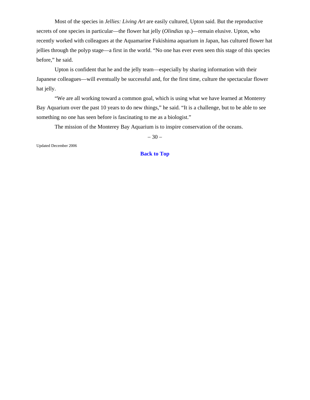Most of the species in *Jellies: Living Art* are easily cultured, Upton said. But the reproductive secrets of one species in particular—the flower hat jelly (*Olindias* sp.)—remain elusive. Upton, who recently worked with colleagues at the Aquamarine Fukishima aquarium in Japan, has cultured flower hat jellies through the polyp stage—a first in the world. "No one has ever even seen this stage of this species before," he said.

Upton is confident that he and the jelly team—especially by sharing information with their Japanese colleagues—will eventually be successful and, for the first time, culture the spectacular flower hat jelly.

"We are all working toward a common goal, which is using what we have learned at Monterey Bay Aquarium over the past 10 years to do new things," he said. "It is a challenge, but to be able to see something no one has seen before is fascinating to me as a biologist."

The mission of the Monterey Bay Aquarium is to inspire conservation of the oceans.

 $-30-$ 

Updated December 2006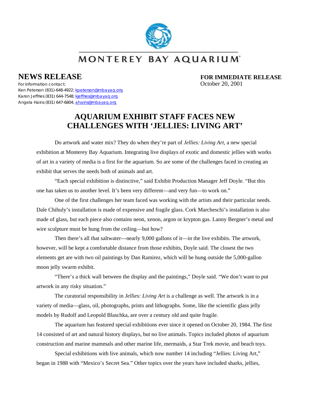

<span id="page-8-0"></span>**NEWS RELEASE FOR IMMEDIATE RELEASE** 

For information contact: October 20, 2001 Ken Peterson (831)-648-4922; [kpeterson@mbayaq.org](mailto:kpeterson@mbayaq.org) Karen Jeffries (831) 644-7548; [kjeffries@mbayaq.org](mailto:kjeffries@mbayaq.org) Angela Hains (831) 647-6804; [ahains@mbayaq.org](mailto:ahains@mbayaq.org)

## **AQUARIUM EXHIBIT STAFF FACES NEW CHALLENGES WITH 'JELLIES: LIVING ART'**

Do artwork and water mix? They do when they're part of *Jellies: Living Art*, a new special exhibition at Monterey Bay Aquarium. Integrating live displays of exotic and domestic jellies with works of art in a variety of media is a first for the aquarium. So are some of the challenges faced in creating an exhibit that serves the needs both of animals and art.

"Each special exhibition is distinctive," said Exhibit Production Manager Jeff Doyle. "But this one has taken us to another level. It's been very different—and very fun—to work on."

One of the first challenges her team faced was working with the artists and their particular needs. Dale Chihuly's installation is made of expensive and fragile glass. Cork Marcheschi's installation is also made of glass, but each piece also contains neon, xenon, argon or krypton gas. Lanny Bergner's metal and wire sculpture must be hung from the ceiling—but how?

Then there's all that saltwater—nearly 9,000 gallons of it—in the live exhibits. The artwork, however, will be kept a comfortable distance from those exhibits, Doyle said. The closest the two elements get are with two oil paintings by Dan Ramirez, which will be hung outside the 5,000-gallon moon jelly swarm exhibit.

"There's a thick wall between the display and the paintings," Doyle said. "We don't want to put artwork in any risky situation."

The curatorial responsibility in *Jellies: Living Art* is a challenge as well. The artwork is in a variety of media—glass, oil, photographs, prints and lithographs. Some, like the scientific glass jelly models by Rudolf and Leopold Blaschka, are over a century old and quite fragile.

The aquarium has featured special exhibitions ever since it opened on October 20, 1984. The first 14 consisted of art and natural history displays, but no live animals. Topics included photos of aquarium construction and marine mammals and other marine life, mermaids, a Star Trek movie, and beach toys.

Special exhibitions with live animals, which now number 14 including "Jellies: Living Art," began in 1988 with "Mexico's Secret Sea." Other topics over the years have included sharks, jellies,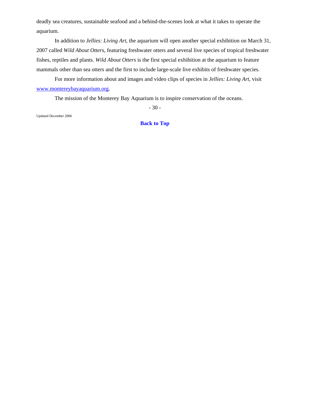deadly sea creatures, sustainable seafood and a behind-the-scenes look at what it takes to operate the aquarium.

In addition to *Jellies: Living Art*, the aquarium will open another special exhibition on March 31, 2007 called *Wild About Otters*, featuring freshwater otters and several live species of tropical freshwater fishes, reptiles and plants. *Wild About Otters* is the first special exhibition at the aquarium to feature mammals other than sea otters and the first to include large-scale live exhibits of freshwater species.

For more information about and images and video clips of species in *Jellies: Living Art*, visit [www.montereybayaquarium.org.](http://www.montereybayaquarium.org/)

The mission of the Monterey Bay Aquarium is to inspire conservation of the oceans.

- 30 -

Updated December 2006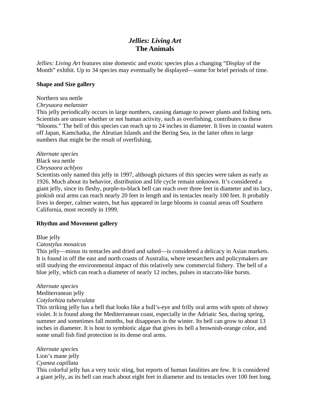## *Jellies: Living Art*  **The Animals**

<span id="page-10-0"></span>*Jellies: Living Art* features nine domestic and exotic species plus a changing "Display of the Month" exhibit. Up to 34 species may eventually be displayed—some for brief periods of time.

#### **Shape and Size gallery**

#### Northern sea nettle

#### *Chrysaora melanster*

This jelly periodically occurs in large numbers, causing damage to power plants and fishing nets. Scientists are unsure whether or not human activity, such as overfishing, contributes to these "blooms." The bell of this species can reach up to 24 inches in diameter. It lives in coastal waters off Japan, Kamchatka, the Aleutian Islands and the Bering Sea, in the latter often in large numbers that might be the result of overfishing.

#### *Alternate species*

#### Black sea nettle

#### *Chrysaora achlyos*

Scientists only named this jelly in 1997, although pictures of this species were taken as early as 1926. Much about its behavior, distribution and life cycle remain unknown. It's considered a giant jelly, since its fleshy, purple-to-black bell can reach over three feet in diameter and its lacy, pinkish oral arms can reach nearly 20 feet in length and its tentacles nearly 100 feet. It probably lives in deeper, calmer waters, but has appeared in large blooms in coastal areas off Southern California, most recently in 1999.

#### **Rhythm and Movement gallery**

#### Blue jelly

#### *Catostylus mosaicus*

This jelly—minus its tentacles and dried and salted—is considered a delicacy in Asian markets. It is found in off the east and north coasts of Australia, where researchers and policymakers are still studying the environmental impact of this relatively new commercial fishery. The bell of a blue jelly, which can reach a diameter of nearly 12 inches, pulses in staccato-like bursts.

#### *Alternate species*

#### Mediterranean jelly

#### *Cotylorhiza tuberculata*

This striking jelly has a bell that looks like a bull's-eye and frilly oral arms with spots of showy violet. It is found along the Mediterranean coast, especially in the Adriatic Sea, during spring, summer and sometimes fall months, but disappears in the winter. Its bell can grow to about 13 inches in diameter. It is host to symbiotic algae that gives its bell a brownish-orange color, and some small fish find protection in its dense oral arms.

#### *Alternate species*

Lion's mane jelly *Cyanea capillata*

This colorful jelly has a very toxic sting, but reports of human fatalities are few. It is considered a giant jelly, as its bell can reach about eight feet in diameter and its tentacles over 100 feet long.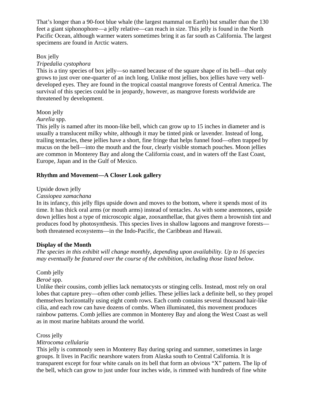That's longer than a 90-foot blue whale (the largest mammal on Earth) but smaller than the 130 feet a giant siphonophore—a jelly relative—can reach in size. This jelly is found in the North Pacific Ocean, although warmer waters sometimes bring it as far south as California. The largest specimens are found in Arctic waters.

#### Box jelly

#### *Tripedalia cystophora*

This is a tiny species of box jelly—so named because of the square shape of its bell—that only grows to just over one-quarter of an inch long. Unlike most jellies, box jellies have very welldeveloped eyes. They are found in the tropical coastal mangrove forests of Central America. The survival of this species could be in jeopardy, however, as mangrove forests worldwide are threatened by development.

#### Moon jelly

#### *Aurelia* spp.

This jelly is named after its moon-like bell, which can grow up to 15 inches in diameter and is usually a translucent milky white, although it may be tinted pink or lavender. Instead of long, trailing tentacles, these jellies have a short, fine fringe that helps funnel food—often trapped by mucus on the bell—into the mouth and the four, clearly visible stomach pouches. Moon jellies are common in Monterey Bay and along the California coast, and in waters off the East Coast, Europe, Japan and in the Gulf of Mexico.

#### **Rhythm and Movement—A Closer Look gallery**

#### Upside down jelly

#### *Cassiopea xamachana*

In its infancy, this jelly flips upside down and moves to the bottom, where it spends most of its time. It has thick oral arms (or mouth arms) instead of tentacles. As with some anemones, upside down jellies host a type of microscopic algae, zooxanthellae, that gives them a brownish tint and produces food by photosynthesis. This species lives in shallow lagoons and mangrove forests both threatened ecosystems—in the Indo-Pacific, the Caribbean and Hawaii.

#### **Display of the Month**

*The species in this exhibit will change monthly, depending upon availability. Up to 16 species may eventually be featured over the course of the exhibition, including those listed below.* 

#### Comb jelly

#### *Beroë* spp.

Unlike their cousins, comb jellies lack nematocysts or stinging cells. Instead, most rely on oral lobes that capture prey—often other comb jellies. These jellies lack a definite bell, so they propel themselves horizontally using eight comb rows. Each comb contains several thousand hair-like cilia, and each row can have dozens of combs. When illuminated, this movement produces rainbow patterns. Comb jellies are common in Monterey Bay and along the West Coast as well as in most marine habitats around the world.

#### Cross jelly

#### *Mitrocoma cellularia*

This jelly is commonly seen in Monterey Bay during spring and summer, sometimes in large groups. It lives in Pacific nearshore waters from Alaska south to Central California. It is transparent except for four white canals on its bell that form an obvious "X" pattern. The lip of the bell, which can grow to just under four inches wide, is rimmed with hundreds of fine white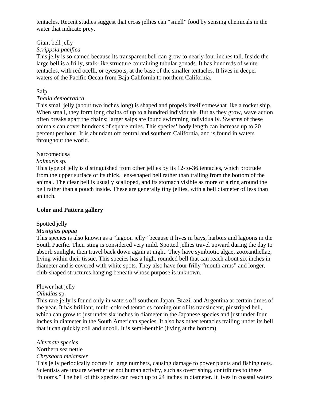tentacles. Recent studies suggest that cross jellies can "smell" food by sensing chemicals in the water that indicate prey.

#### Giant bell jelly

#### *Scrippsia pacifica*

This jelly is so named because its transparent bell can grow to nearly four inches tall. Inside the large bell is a frilly, stalk-like structure containing tubular gonads. It has hundreds of white tentacles, with red ocelli, or eyespots, at the base of the smaller tentacles. It lives in deeper waters of the Pacific Ocean from Baja California to northern California.

#### Salp

#### *Thalia democratica*

This small jelly (about two inches long) is shaped and propels itself somewhat like a rocket ship. When small, they form long chains of up to a hundred individuals. But as they grow, wave action often breaks apart the chains; larger salps are found swimming individually. Swarms of these animals can cover hundreds of square miles. This species' body length can increase up to 20 percent per hour. It is abundant off central and southern California, and is found in waters throughout the world.

#### Narcomedusa

#### *Solmaris* sp.

This type of jelly is distinguished from other jellies by its 12-to-36 tentacles, which protrude from the upper surface of its thick, lens-shaped bell rather than trailing from the bottom of the animal. The clear bell is usually scalloped, and its stomach visible as more of a ring around the bell rather than a pouch inside. These are generally tiny jellies, with a bell diameter of less than an inch.

#### **Color and Pattern gallery**

#### Spotted jelly

#### *Mastigias papua*

This species is also known as a "lagoon jelly" because it lives in bays, harbors and lagoons in the South Pacific. Their sting is considered very mild. Spotted jellies travel upward during the day to absorb sunlight, then travel back down again at night. They have symbiotic algae, zooxanthellae, living within their tissue. This species has a high, rounded bell that can reach about six inches in diameter and is covered with white spots. They also have four frilly "mouth arms" and longer, club-shaped structures hanging beneath whose purpose is unknown.

#### Flower hat jelly

#### *Olindias* sp.

This rare jelly is found only in waters off southern Japan, Brazil and Argentina at certain times of the year. It has brilliant, multi-colored tentacles coming out of its translucent, pinstriped bell, which can grow to just under six inches in diameter in the Japanese species and just under four inches in diameter in the South American species. It also has other tentacles trailing under its bell that it can quickly coil and uncoil. It is semi-benthic (living at the bottom).

#### *Alternate species*

#### Northern sea nettle

#### *Chrysaora melanster*

This jelly periodically occurs in large numbers, causing damage to power plants and fishing nets. Scientists are unsure whether or not human activity, such as overfishing, contributes to these "blooms." The bell of this species can reach up to 24 inches in diameter. It lives in coastal waters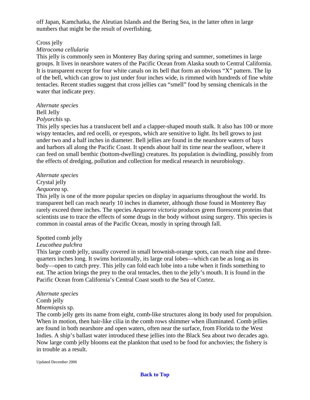off Japan, Kamchatka, the Aleutian Islands and the Bering Sea, in the latter often in large numbers that might be the result of overfishing.

#### Cross jelly

#### *Mitrocoma cellularia*

This jelly is commonly seen in Monterey Bay during spring and summer, sometimes in large groups. It lives in nearshore waters of the Pacific Ocean from Alaska south to Central California. It is transparent except for four white canals on its bell that form an obvious "X" pattern. The lip of the bell, which can grow to just under four inches wide, is rimmed with hundreds of fine white tentacles. Recent studies suggest that cross jellies can "smell" food by sensing chemicals in the water that indicate prey.

## *Alternate species* Bell Jelly

## *Polyorchis* sp.

This jelly species has a translucent bell and a clapper-shaped mouth stalk. It also has 100 or more wispy tentacles, and red ocelli, or eyespots, which are sensitive to light. Its bell grows to just under two and a half inches in diameter. Bell jellies are found in the nearshore waters of bays and harbors all along the Pacific Coast. It spends about half its time near the seafloor, where it can feed on small benthic (bottom-dwelling) creatures. Its population is dwindling, possibly from the effects of dredging, pollution and collection for medical research in neurobiology.

#### *Alternate species*

#### Crystal jelly

#### *Aequorea* sp.

This jelly is one of the more popular species on display in aquariums throughout the world. Its transparent bell can reach nearly 10 inches in diameter, although those found in Monterey Bay rarely exceed three inches. The species *Aequorea victoria* produces green florescent proteins that scientists use to trace the effects of some drugs in the body without using surgery. This species is common in coastal areas of the Pacific Ocean, mostly in spring through fall.

#### Spotted comb jelly

#### *Leucothea pulchra*

This large comb jelly, usually covered in small brownish-orange spots, can reach nine and threequarters inches long. It swims horizontally, its large oral lobes—which can be as long as its body—open to catch prey. This jelly can fold each lobe into a tube when it finds something to eat. The action brings the prey to the oral tentacles, then to the jelly's mouth. It is found in the Pacific Ocean from California's Central Coast south to the Sea of Cortez.

#### *Alternate species*

#### Comb jelly

#### *Mnemiopsis* sp.

The comb jelly gets its name from eight, comb-like structures along its body used for propulsion. When in motion, then hair-like cilia in the comb rows shimmer when illuminated. Comb jellies are found in both nearshore and open waters, often near the surface, from Florida to the West Indies. A ship's ballast water introduced these jellies into the Black Sea about two decades ago. Now large comb jelly blooms eat the plankton that used to be food for anchovies; the fishery is in trouble as a result.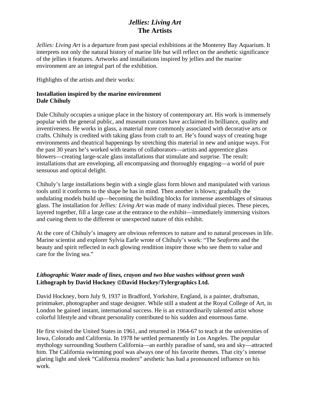## *Jellies: Living Art*  **The Artists**

<span id="page-14-0"></span>*Jellies: Living Art* is a departure from past special exhibitions at the Monterey Bay Aquarium. It interprets not only the natural history of marine life but will reflect on the aesthetic significance of the jellies it features. Artworks and installations inspired by jellies and the marine environment are an integral part of the exhibition.

Highlights of the artists and their works:

#### **Installation inspired by the marine environment Dale Chihuly**

Dale Chihuly occupies a unique place in the history of contemporary art. His work is immensely popular with the general public, and museum curators have acclaimed its brilliance, quality and inventiveness. He works in glass, a material more commonly associated with decorative arts or crafts. Chihuly is credited with taking glass from craft to art. He's found ways of creating huge environments and theatrical happenings by stretching this material in new and unique ways. For the past 30 years he's worked with teams of collaborators—artists and apprentice glass blowers—creating large-scale glass installations that stimulate and surprise. The result: installations that are enveloping, all encompassing and thoroughly engaging—a world of pure sensuous and optical delight.

Chihuly's large installations begin with a single glass form blown and manipulated with various tools until it conforms to the shape he has in mind. Then another is blown; gradually the undulating models build up—becoming the building blocks for immense assemblages of sinuous glass. The installation for *Jellies: Living Art* was made of many individual pieces. These pieces, layered together, fill a large case at the entrance to the exhibit—immediately immersing visitors and cueing them to the different or unexpected nature of this exhibit.

At the core of Chihuly's imagery are obvious references to nature and to natural processes in life. Marine scientist and explorer Sylvia Earle wrote of Chihuly's work: "The *Seaforms* and the beauty and spirit reflected in each glowing rendition inspire those who see them to value and care for the living sea."

### *Lithographic Water made of lines, crayon and two blue washes without green wash*  **Lithograph by David Hockney** ©**David Hockey/Tylergraphics Ltd.**

David Hockney, born July 9, 1937 in Bradford, Yorkshire, England, is a painter, draftsman, printmaker, photographer and stage designer. While still a student at the Royal College of Art, in London he gained instant, international success. He is an extraordinarily talented artist whose colorful lifestyle and vibrant personality contributed to his sudden and enormous fame.

He first visited the United States in 1961, and returned in 1964-67 to teach at the universities of Iowa, Colorado and California. In 1978 he settled permanently in Los Angeles. The popular mythology surrounding Southern California—an earthly paradise of sand, sea and sky—attracted him. The California swimming pool was always one of his favorite themes. That city's intense glaring light and sleek "California modern" aesthetic has had a pronounced influence on his work.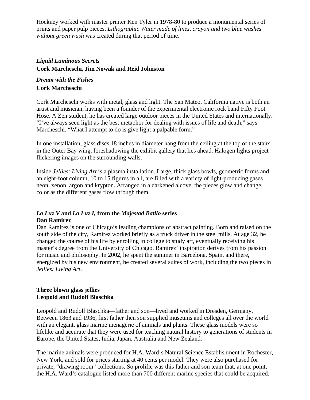Hockney worked with master printer Ken Tyler in 1978-80 to produce a monumental series of prints and paper pulp pieces. *Lithographic Water made of lines, crayon and two blue washes without green wash* was created during that period of time.

### *Liquid Luminous Secrets*  **Cork Marcheschi, Jim Nowak and Reid Johnston**

#### *Dream with the Fishes*  **Cork Marcheschi**

Cork Marcheschi works with metal, glass and light. The San Mateo, California native is both an artist and musician, having been a founder of the experimental electronic rock band Fifty Foot Hose. A Zen student, he has created large outdoor pieces in the United States and internationally. "I've always seen light as the best metaphor for dealing with issues of life and death," says Marcheschi. "What I attempt to do is give light a palpable form."

In one installation, glass discs 18 inches in diameter hang from the ceiling at the top of the stairs in the Outer Bay wing, foreshadowing the exhibit gallery that lies ahead. Halogen lights project flickering images on the surrounding walls.

Inside *Jellies: Living Art* is a plasma installation. Large, thick glass bowls, geometric forms and an eight-foot column, 10 to 15 figures in all, are filled with a variety of light-producing gases neon, xenon, argon and krypton. Arranged in a darkened alcove, the pieces glow and change color as the different gases flow through them.

#### *La Luz V* **and** *La Luz I,* **from the** *Majestad Batllo* **series Dan Ramirez**

Dan Ramirez is one of Chicago's leading champions of abstract painting. Born and raised on the south side of the city, Ramirez worked briefly as a truck driver in the steel mills. At age 32, he changed the course of his life by enrolling in college to study art, eventually receiving his master's degree from the University of Chicago. Ramirez' inspiration derives from his passion for music and philosophy. In 2002, he spent the summer in Barcelona, Spain, and there, energized by his new environment, he created several suites of work, including the two pieces in *Jellies: Living Art*.

#### **Three blown glass jellies Leopold and Rudolf Blaschka**

Leopold and Rudolf Blaschka—father and son—lived and worked in Dresden, Germany. Between 1863 and 1936, first father then son supplied museums and colleges all over the world with an elegant, glass marine menagerie of animals and plants. These glass models were so lifelike and accurate that they were used for teaching natural history to generations of students in Europe, the United States, India, Japan, Australia and New Zealand.

The marine animals were produced for H.A. Ward's Natural Science Establishment in Rochester, New York, and sold for prices starting at 40 cents per model. They were also purchased for private, "drawing room" collections. So prolific was this father and son team that, at one point, the H.A. Ward's catalogue listed more than 700 different marine species that could be acquired.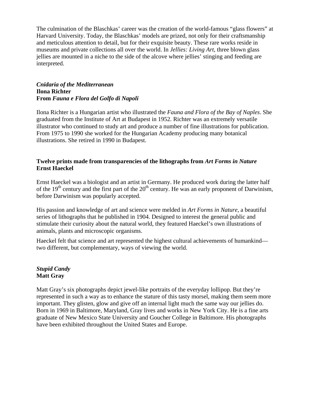The culmination of the Blaschkas' career was the creation of the world-famous "glass flowers" at Harvard University. Today, the Blaschkas' models are prized, not only for their craftsmanship and meticulous attention to detail, but for their exquisite beauty. These rare works reside in museums and private collections all over the world. In *Jellies: Living Art*, three blown glass jellies are mounted in a niche to the side of the alcove where jellies' stinging and feeding are interpreted.

#### *Cnidaria of the Mediterranean* **Ilona Richter From** *Fauna e Flora del Golfo di Napoli*

Ilona Richter is a Hungarian artist who illustrated the *Fauna and Flora of the Bay of Naples*. She graduated from the Institute of Art at Budapest in 1952. Richter was an extremely versatile illustrator who continued to study art and produce a number of fine illustrations for publication. From 1975 to 1990 she worked for the Hungarian Academy producing many botanical illustrations. She retired in 1990 in Budapest.

#### **Twelve prints made from transparencies of the lithographs from** *Art Forms in Nature* **Ernst Haeckel**

Ernst Haeckel was a biologist and an artist in Germany. He produced work during the latter half of the  $19<sup>th</sup>$  century and the first part of the  $20<sup>th</sup>$  century. He was an early proponent of Darwinism, before Darwinism was popularly accepted.

His passion and knowledge of art and science were melded in *Art Forms in Nature*, a beautiful series of lithographs that he published in 1904. Designed to interest the general public and stimulate their curiosity about the natural world, they featured Haeckel's own illustrations of animals, plants and microscopic organisms.

Haeckel felt that science and art represented the highest cultural achievements of humankind two different, but complementary, ways of viewing the world.

#### *Stupid Candy*  **Matt Gray**

Matt Gray's six photographs depict jewel-like portraits of the everyday lollipop. But they're represented in such a way as to enhance the stature of this tasty morsel, making them seem more important. They glisten, glow and give off an internal light much the same way our jellies do. Born in 1969 in Baltimore, Maryland, Gray lives and works in New York City. He is a fine arts graduate of New Mexico State University and Goucher College in Baltimore. His photographs have been exhibited throughout the United States and Europe.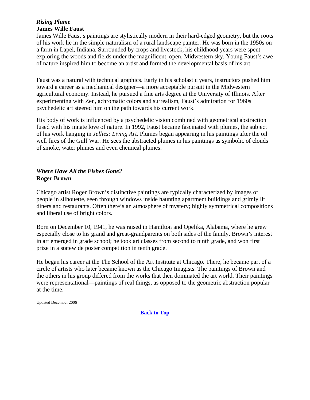#### *Rising Plume* **James Wille Faust**

James Wille Faust's paintings are stylistically modern in their hard-edged geometry, but the roots of his work lie in the simple naturalism of a rural landscape painter. He was born in the 1950s on a farm in Lapel, Indiana. Surrounded by crops and livestock, his childhood years were spent exploring the woods and fields under the magnificent, open, Midwestern sky. Young Faust's awe of nature inspired him to become an artist and formed the developmental basis of his art.

Faust was a natural with technical graphics. Early in his scholastic years, instructors pushed him toward a career as a mechanical designer—a more acceptable pursuit in the Midwestern agricultural economy. Instead, he pursued a fine arts degree at the University of Illinois. After experimenting with Zen, achromatic colors and surrealism, Faust's admiration for 1960s psychedelic art steered him on the path towards his current work.

His body of work is influenced by a psychedelic vision combined with geometrical abstraction fused with his innate love of nature. In 1992, Faust became fascinated with plumes, the subject of his work hanging in *Jellies: Living Art*. Plumes began appearing in his paintings after the oil well fires of the Gulf War. He sees the abstracted plumes in his paintings as symbolic of clouds of smoke, water plumes and even chemical plumes.

#### *Where Have All the Fishes Gone?*  **Roger Brown**

Chicago artist Roger Brown's distinctive paintings are typically characterized by images of people in silhouette, seen through windows inside haunting apartment buildings and grimly lit diners and restaurants. Often there's an atmosphere of mystery; highly symmetrical compositions and liberal use of bright colors.

Born on December 10, 1941, he was raised in Hamilton and Opelika, Alabama, where he grew especially close to his grand and great-grandparents on both sides of the family. Brown's interest in art emerged in grade school; he took art classes from second to ninth grade, and won first prize in a statewide poster competition in tenth grade.

He began his career at the The School of the Art Institute at Chicago. There, he became part of a circle of artists who later became known as the Chicago Imagists. The paintings of Brown and the others in his group differed from the works that then dominated the art world. Their paintings were representational—paintings of real things, as opposed to the geometric abstraction popular at the time.

Updated December 2006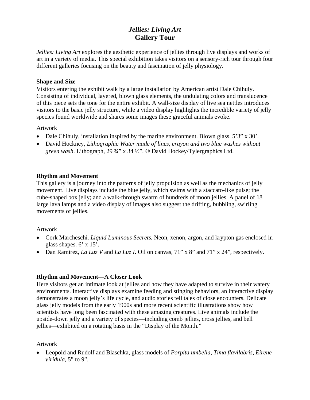## *Jellies: Living Art*  **Gallery Tour**

<span id="page-18-0"></span>*Jellies: Living Art* explores the aesthetic experience of jellies through live displays and works of art in a variety of media. This special exhibition takes visitors on a sensory-rich tour through four different galleries focusing on the beauty and fascination of jelly physiology.

#### **Shape and Size**

Visitors entering the exhibit walk by a large installation by American artist Dale Chihuly. Consisting of individual, layered, blown glass elements, the undulating colors and translucence of this piece sets the tone for the entire exhibit. A wall-size display of live sea nettles introduces visitors to the basic jelly structure, while a video display highlights the incredible variety of jelly species found worldwide and shares some images these graceful animals evoke.

#### Artwork

- Dale Chihuly, installation inspired by the marine environment. Blown glass. 5'3" x 30'.
- David Hockney, *Lithographic Water made of lines, crayon and two blue washes without green wash*. Lithograph, 29 ¾" x 34 ½". © David Hockey/Tylergraphics Ltd.

#### **Rhythm and Movement**

This gallery is a journey into the patterns of jelly propulsion as well as the mechanics of jelly movement. Live displays include the blue jelly, which swims with a staccato-like pulse; the cube-shaped box jelly; and a walk-through swarm of hundreds of moon jellies. A panel of 18 large lava lamps and a video display of images also suggest the drifting, bubbling, swirling movements of jellies.

#### Artwork

- Cork Marcheschi. *Liquid Luminous Secrets.* Neon, xenon, argon, and krypton gas enclosed in glass shapes.  $6' \times 15'$ .
- Dan Ramirez, *La Luz V* and *La Luz I*. Oil on canvas, 71" x 8" and 71" x 24", respectively.

#### **Rhythm and Movement—A Closer Look**

Here visitors get an intimate look at jellies and how they have adapted to survive in their watery environments. Interactive displays examine feeding and stinging behaviors, an interactive display demonstrates a moon jelly's life cycle, and audio stories tell tales of close encounters. Delicate glass jelly models from the early 1900s and more recent scientific illustrations show how scientists have long been fascinated with these amazing creatures. Live animals include the upside-down jelly and a variety of species—including comb jellies, cross jellies, and bell jellies—exhibited on a rotating basis in the "Display of the Month."

#### Artwork

• Leopold and Rudolf and Blaschka, glass models of *Porpita umbella, Tima flavilabris, Eirene viridula*, 5" to 9".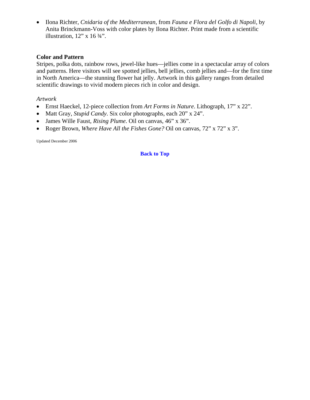• Ilona Richter, *Cnidaria of the Mediterranean*, from *Fauna e Flora del Golfo di Napoli*, by Anita Brinckmann-Voss with color plates by Ilona Richter. Print made from a scientific illustration,  $12$ " x  $16\frac{3}{4}$ ".

#### **Color and Pattern**

Stripes, polka dots, rainbow rows, jewel-like hues—jellies come in a spectacular array of colors and patterns. Here visitors will see spotted jellies, bell jellies, comb jellies and—for the first time in North America—the stunning flower hat jelly. Artwork in this gallery ranges from detailed scientific drawings to vivid modern pieces rich in color and design.

#### *Artwork*

- Ernst Haeckel, 12-piece collection from *Art Forms in Nature*. Lithograph, 17" x 22".
- Matt Gray, *Stupid Candy*. Six color photographs, each 20" x 24".
- James Wille Faust, *Rising Plume*. Oil on canvas, 46" x 36".
- Roger Brown, *Where Have All the Fishes Gone?* Oil on canvas, 72" x 72" x 3".

Updated December 2006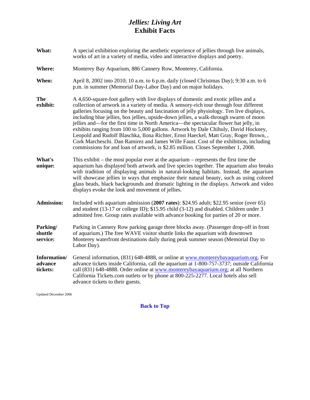## *Jellies: Living Art*  **Exhibit Facts**

<span id="page-20-0"></span>

| What:                               | A special exhibition exploring the aesthetic experience of jellies through live animals,<br>works of art in a variety of media, video and interactive displays and poetry.                                                                                                                                                                                                                                                                                                                                                                                                                                                                                                                                                                                                                                               |
|-------------------------------------|--------------------------------------------------------------------------------------------------------------------------------------------------------------------------------------------------------------------------------------------------------------------------------------------------------------------------------------------------------------------------------------------------------------------------------------------------------------------------------------------------------------------------------------------------------------------------------------------------------------------------------------------------------------------------------------------------------------------------------------------------------------------------------------------------------------------------|
| Where:                              | Monterey Bay Aquarium, 886 Cannery Row, Monterey, California.                                                                                                                                                                                                                                                                                                                                                                                                                                                                                                                                                                                                                                                                                                                                                            |
| When:                               | April 8, 2002 into 2010; 10 a.m. to 6 p.m. daily (closed Christmas Day); 9:30 a.m. to 6<br>p.m. in summer (Memorial Day-Labor Day) and on major holidays.                                                                                                                                                                                                                                                                                                                                                                                                                                                                                                                                                                                                                                                                |
| <b>The</b><br>exhibit:              | A 4,650-square-foot gallery with live displays of domestic and exotic jellies and a<br>collection of artwork in a variety of media. A sensory-rich tour through four different<br>galleries focusing on the beauty and fascination of jelly physiology. Ten live displays,<br>including blue jellies, box jellies, upside-down jellies, a walk-through swarm of moon<br>jellies and—for the first time in North America—the spectacular flower hat jelly, in<br>exhibits ranging from 100 to 5,000 gallons. Artwork by Dale Chihuly, David Hockney,<br>Leopold and Rudolf Blaschka, Ilona Richter, Ernst Haeckel, Matt Gray, Roger Brown,,<br>Cork Marcheschi. Dan Ramirez and James Wille Faust. Cost of the exhibition, including<br>commissions for and loan of artwork, is \$2.85 million. Closes September 1, 2008. |
| What's<br>unique:                   | This exhibit – the most popular ever at the aquarium – represents the first time the<br>aquarium has displayed both artwork and live species together. The aquarium also breaks<br>with tradition of displaying animals in natural-looking habitats. Instead, the aquarium<br>will showcase jellies in ways that emphasize their natural beauty, such as using colored<br>glass beads, black backgrounds and dramatic lighting in the displays. Artwork and video<br>displays evoke the look and movement of jellies.                                                                                                                                                                                                                                                                                                    |
| <b>Admission:</b>                   | Included with aquarium admission (2007 rates): \$24.95 adult; \$22.95 senior (over 65)<br>and student (13-17 or college ID); $$15.95$ child (3-12) and disabled. Children under 3<br>admitted free. Group rates available with advance booking for parties of 20 or more.                                                                                                                                                                                                                                                                                                                                                                                                                                                                                                                                                |
| Parking/<br>shuttle<br>service:     | Parking in Cannery Row parking garage three blocks away. (Passenger drop-off in front<br>of aquarium.) The free WAVE visitor shuttle links the aquarium with downtown<br>Monterey waterfront destinations daily during peak summer season (Memorial Day to<br>Labor Day).                                                                                                                                                                                                                                                                                                                                                                                                                                                                                                                                                |
| Information/<br>advance<br>tickets: | General information, (831) 648-4888, or online at www.montereybayaquarium.org. For<br>advance tickets inside California, call the aquarium at 1-800-757-3737; outside California<br>call (831) 648-4888. Order online at www.montereybayaquarium.org; at all Northern<br>California Tickets.com outlets or by phone at 800-225-2277. Local hotels also sell<br>advance tickets to their guests.                                                                                                                                                                                                                                                                                                                                                                                                                          |

Updated December 2006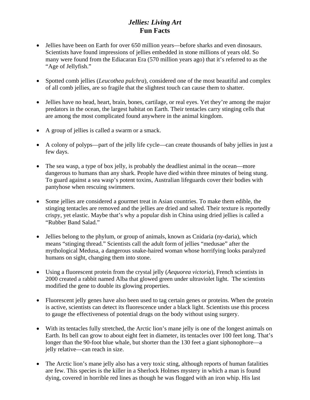## *Jellies: Living Art*  **Fun Facts**

- <span id="page-21-0"></span>• Jellies have been on Earth for over 650 million years—before sharks and even dinosaurs. Scientists have found impressions of jellies embedded in stone millions of years old. So many were found from the Ediacaran Era (570 million years ago) that it's referred to as the "Age of Jellyfish."
- Spotted comb jellies (*Leucothea pulchra*), considered one of the most beautiful and complex of all comb jellies, are so fragile that the slightest touch can cause them to shatter.
- Jellies have no head, heart, brain, bones, cartilage, or real eyes. Yet they're among the major predators in the ocean, the largest habitat on Earth. Their tentacles carry stinging cells that are among the most complicated found anywhere in the animal kingdom.
- A group of jellies is called a swarm or a smack.
- A colony of polyps—part of the jelly life cycle—can create thousands of baby jellies in just a few days.
- The sea wasp, a type of box jelly, is probably the deadliest animal in the ocean—more dangerous to humans than any shark. People have died within three minutes of being stung. To guard against a sea wasp's potent toxins, Australian lifeguards cover their bodies with pantyhose when rescuing swimmers.
- Some jellies are considered a gourmet treat in Asian countries. To make them edible, the stinging tentacles are removed and the jellies are dried and salted. Their texture is reportedly crispy, yet elastic. Maybe that's why a popular dish in China using dried jellies is called a "Rubber Band Salad."
- Jellies belong to the phylum, or group of animals, known as Cnidaria (ny-daria), which means "stinging thread." Scientists call the adult form of jellies "medusae" after the mythological Medusa, a dangerous snake-haired woman whose horrifying looks paralyzed humans on sight, changing them into stone.
- Using a fluorescent protein from the crystal jelly (*Aequorea victoria*), French scientists in 2000 created a rabbit named Alba that glowed green under ultraviolet light. The scientists modified the gene to double its glowing properties.
- Fluorescent jelly genes have also been used to tag certain genes or proteins. When the protein is active, scientists can detect its fluorescence under a black light. Scientists use this process to gauge the effectiveness of potential drugs on the body without using surgery.
- With its tentacles fully stretched, the Arctic lion's mane jelly is one of the longest animals on Earth. Its bell can grow to about eight feet in diameter, its tentacles over 100 feet long. That's longer than the 90-foot blue whale, but shorter than the 130 feet a giant siphonophore—a jelly relative—can reach in size.
- The Arctic lion's mane jelly also has a very toxic sting, although reports of human fatalities are few. This species is the killer in a Sherlock Holmes mystery in which a man is found dying, covered in horrible red lines as though he was flogged with an iron whip. His last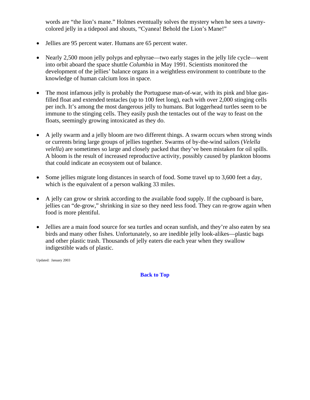words are "the lion's mane." Holmes eventually solves the mystery when he sees a tawnycolored jelly in a tidepool and shouts, "Cyanea! Behold the Lion's Mane!"

- Jellies are 95 percent water. Humans are 65 percent water.
- Nearly 2,500 moon jelly polyps and ephyrae—two early stages in the jelly life cycle—went into orbit aboard the space shuttle *Columbia* in May 1991. Scientists monitored the development of the jellies' balance organs in a weightless environment to contribute to the knowledge of human calcium loss in space.
- The most infamous jelly is probably the Portuguese man-of-war, with its pink and blue gasfilled float and extended tentacles (up to 100 feet long), each with over 2,000 stinging cells per inch. It's among the most dangerous jelly to humans. But loggerhead turtles seem to be immune to the stinging cells. They easily push the tentacles out of the way to feast on the floats, seemingly growing intoxicated as they do.
- A jelly swarm and a jelly bloom are two different things. A swarm occurs when strong winds or currents bring large groups of jellies together. Swarms of by-the-wind sailors (*Velella velella*) are sometimes so large and closely packed that they've been mistaken for oil spills. A bloom is the result of increased reproductive activity, possibly caused by plankton blooms that could indicate an ecosystem out of balance.
- Some jellies migrate long distances in search of food. Some travel up to 3,600 feet a day, which is the equivalent of a person walking 33 miles.
- A jelly can grow or shrink according to the available food supply. If the cupboard is bare, jellies can "de-grow," shrinking in size so they need less food. They can re-grow again when food is more plentiful.
- Jellies are a main food source for sea turtles and ocean sunfish, and they're also eaten by sea birds and many other fishes. Unfortunately, so are inedible jelly look-alikes—plastic bags and other plastic trash. Thousands of jelly eaters die each year when they swallow indigestible wads of plastic.

Updated: January 2003